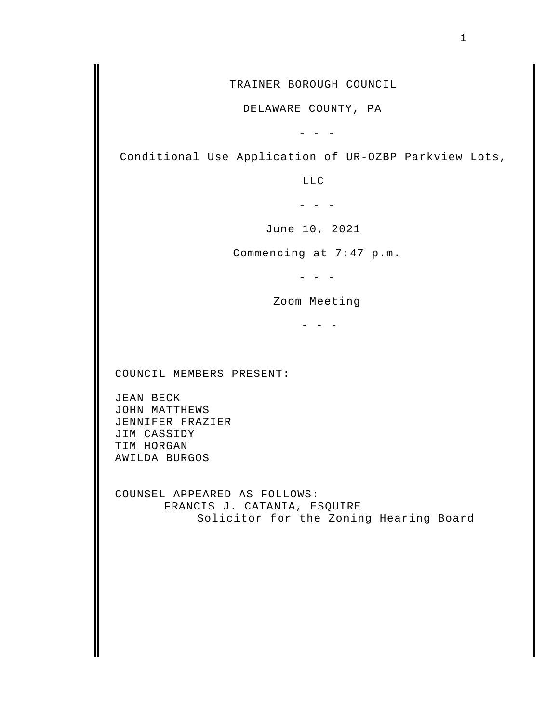DELAWARE COUNTY, PA

 $-$ 

Conditional Use Application of UR-OZBP Parkview Lots,

LLC

 $-$ 

June 10, 2021

Commencing at 7:47 p.m.

- - -

Zoom Meeting

 $- - - -$ 

COUNCIL MEMBERS PRESENT:

JEAN BECK JOHN MATTHEWS JENNIFER FRAZIER JIM CASSIDY TIM HORGAN AWILDA BURGOS

COUNSEL APPEARED AS FOLLOWS: FRANCIS J. CATANIA, ESQUIRE Solicitor for the Zoning Hearing Board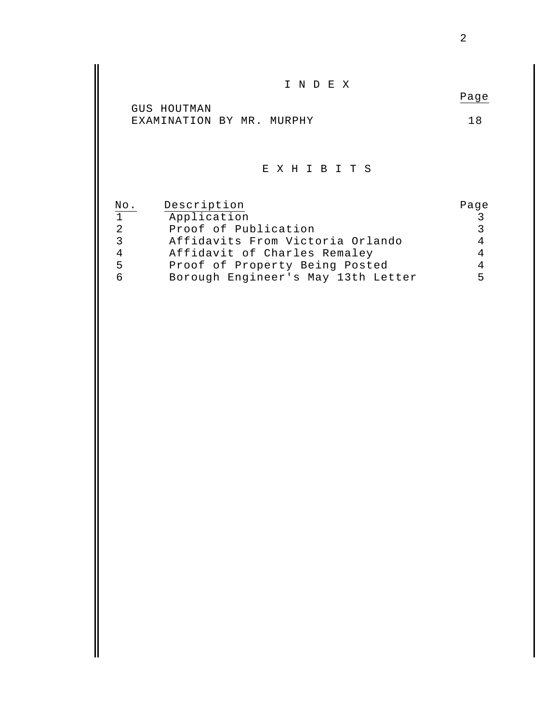## I N D E X

## GUS HOUTMAN EXAMINATION BY MR. MURPHY 18

## E X H I B I T S

| No. | Description                        | Page |
|-----|------------------------------------|------|
| 1   | Application                        |      |
| 2   | Proof of Publication               |      |
| २   | Affidavits From Victoria Orlando   |      |
|     | Affidavit of Charles Remaley       | 4    |
| 5   | Proof of Property Being Posted     | 4    |
|     | Borough Engineer's May 13th Letter |      |

2

Page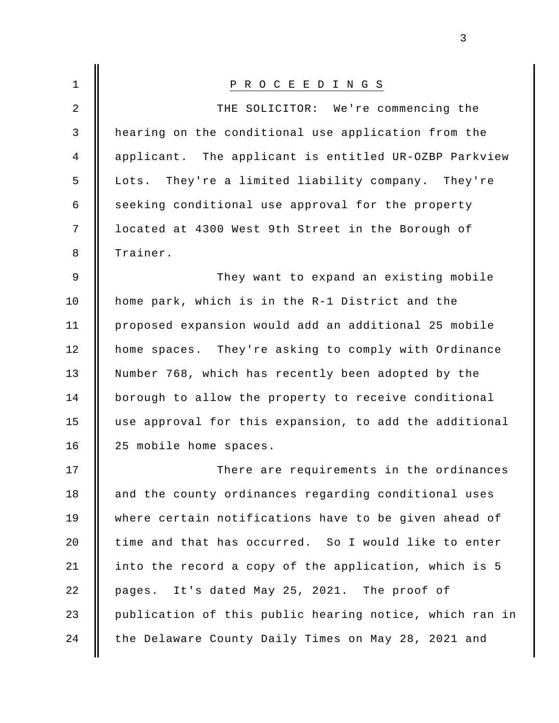| $\mathbf 1$    | P R O C E E D I N G S                                   |
|----------------|---------------------------------------------------------|
| $\overline{2}$ | THE SOLICITOR: We're commencing the                     |
| $\mathfrak{Z}$ | hearing on the conditional use application from the     |
| $\overline{4}$ | applicant. The applicant is entitled UR-OZBP Parkview   |
| 5              | Lots. They're a limited liability company. They're      |
| 6              | seeking conditional use approval for the property       |
| 7              | located at 4300 West 9th Street in the Borough of       |
| 8              | Trainer.                                                |
| $\mathsf 9$    | They want to expand an existing mobile                  |
| 10             | home park, which is in the R-1 District and the         |
| 11             | proposed expansion would add an additional 25 mobile    |
| 12             | home spaces. They're asking to comply with Ordinance    |
| 13             | Number 768, which has recently been adopted by the      |
| 14             | borough to allow the property to receive conditional    |
| 15             | use approval for this expansion, to add the additional  |
| 16             | 25 mobile home spaces.                                  |
| 17             | There are requirements in the ordinances                |
| 18             | and the county ordinances regarding conditional uses    |
| 19             | where certain notifications have to be given ahead of   |
| 20             | time and that has occurred. So I would like to enter    |
| 21             | into the record a copy of the application, which is 5   |
| 22             | It's dated May 25, 2021. The proof of<br>pages.         |
| 23             | publication of this public hearing notice, which ran in |
| 24             | the Delaware County Daily Times on May 28, 2021 and     |
|                |                                                         |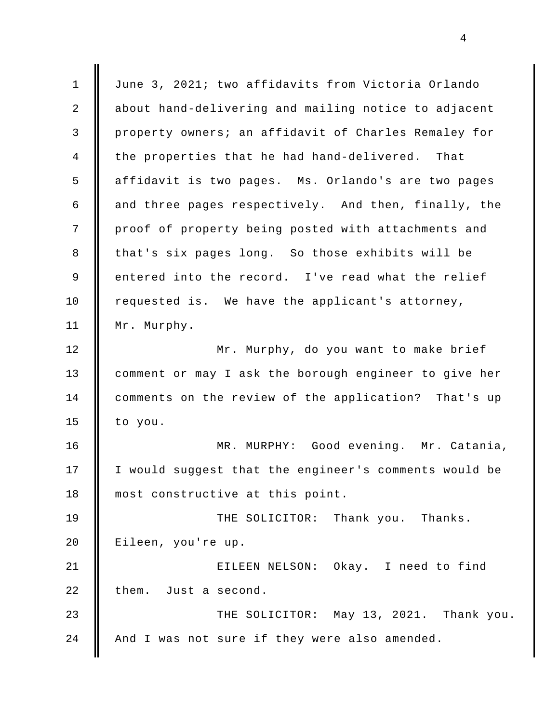| $\mathbf 1$    | June 3, 2021; two affidavits from Victoria Orlando    |
|----------------|-------------------------------------------------------|
| 2              | about hand-delivering and mailing notice to adjacent  |
| 3              | property owners; an affidavit of Charles Remaley for  |
| $\overline{4}$ | the properties that he had hand-delivered. That       |
| 5              | affidavit is two pages. Ms. Orlando's are two pages   |
| 6              | and three pages respectively. And then, finally, the  |
| 7              | proof of property being posted with attachments and   |
| 8              | that's six pages long. So those exhibits will be      |
| $\mathsf 9$    | entered into the record. I've read what the relief    |
| 10             | requested is. We have the applicant's attorney,       |
| 11             | Mr. Murphy.                                           |
| 12             | Mr. Murphy, do you want to make brief                 |
| 13             | comment or may I ask the borough engineer to give her |
| 14             | comments on the review of the application? That's up  |
| 15             | to you.                                               |
| 16             | MR. MURPHY: Good evening. Mr. Catania,                |
| 17             | I would suggest that the engineer's comments would be |
| $18\,$         | most constructive at this point.                      |
| 19             | THE SOLICITOR: Thank you. Thanks.                     |
| 20             | Eileen, you're up.                                    |
| 21             | EILEEN NELSON: Okay. I need to find                   |
| 22             | them. Just a second.                                  |
| 23             | THE SOLICITOR: May 13, 2021. Thank you.               |
| 24             | And I was not sure if they were also amended.         |
|                |                                                       |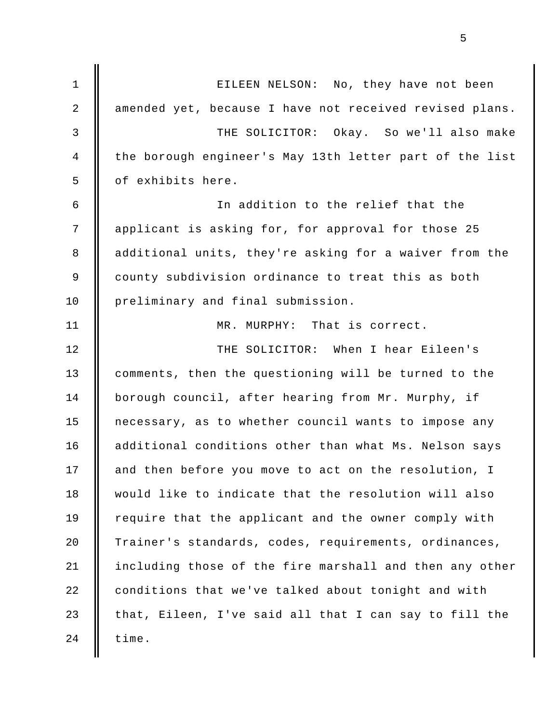| $1\,$          | EILEEN NELSON: No, they have not been                   |
|----------------|---------------------------------------------------------|
| $\overline{2}$ | amended yet, because I have not received revised plans. |
| 3              | THE SOLICITOR: Okay. So we'll also make                 |
| $\overline{4}$ | the borough engineer's May 13th letter part of the list |
| 5              | of exhibits here.                                       |
| 6              | In addition to the relief that the                      |
| $\overline{7}$ | applicant is asking for, for approval for those 25      |
| 8              | additional units, they're asking for a waiver from the  |
| 9              | county subdivision ordinance to treat this as both      |
| 10             | preliminary and final submission.                       |
| 11             | MR. MURPHY: That is correct.                            |
| 12             | THE SOLICITOR: When I hear Eileen's                     |
| 13             | comments, then the questioning will be turned to the    |
| 14             | borough council, after hearing from Mr. Murphy, if      |
| 15             | necessary, as to whether council wants to impose any    |
| 16             | additional conditions other than what Ms. Nelson says   |
| 17             | and then before you move to act on the resolution, I    |
| 18             | would like to indicate that the resolution will also    |
| 19             | require that the applicant and the owner comply with    |
| 20             | Trainer's standards, codes, requirements, ordinances,   |
| 21             | including those of the fire marshall and then any other |
| 22             | conditions that we've talked about tonight and with     |
| 23             | that, Eileen, I've said all that I can say to fill the  |
| 24             | time.                                                   |
|                |                                                         |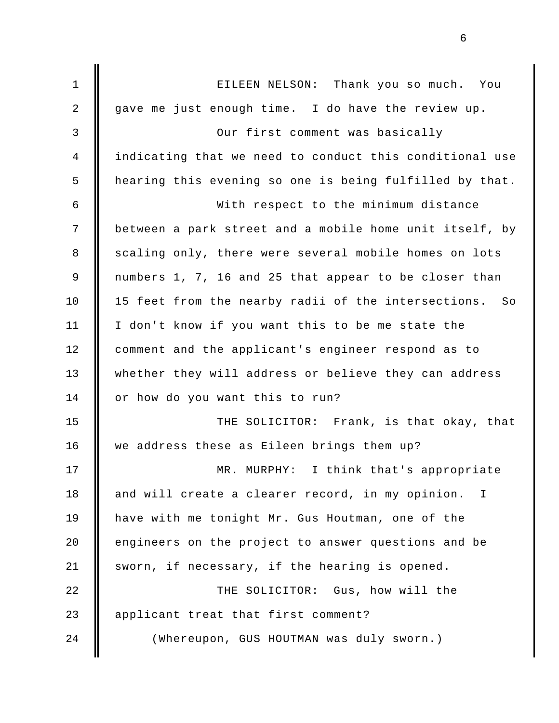| $\mathbf 1$    | EILEEN NELSON: Thank you so much. You                            |
|----------------|------------------------------------------------------------------|
| $\overline{2}$ | gave me just enough time. I do have the review up.               |
| 3              | Our first comment was basically                                  |
| $\overline{4}$ | indicating that we need to conduct this conditional use          |
| 5              | hearing this evening so one is being fulfilled by that.          |
| 6              | With respect to the minimum distance                             |
| $7\phantom{.}$ | between a park street and a mobile home unit itself, by          |
| 8              | scaling only, there were several mobile homes on lots            |
| $\mathsf 9$    | numbers 1, 7, 16 and 25 that appear to be closer than            |
| 10             | 15 feet from the nearby radii of the intersections. So           |
| 11             | I don't know if you want this to be me state the                 |
| 12             | comment and the applicant's engineer respond as to               |
| 13             | whether they will address or believe they can address            |
| 14             | or how do you want this to run?                                  |
| 15             | THE SOLICITOR: Frank, is that okay, that                         |
| 16             | we address these as Eileen brings them up?                       |
| 17             | MR. MURPHY: I think that's appropriate                           |
| 18             | and will create a clearer record, in my opinion.<br>$\mathbb{I}$ |
| 19             | have with me tonight Mr. Gus Houtman, one of the                 |
| 20             | engineers on the project to answer questions and be              |
| 21             | sworn, if necessary, if the hearing is opened.                   |
| 22             | THE SOLICITOR: Gus, how will the                                 |
| 23             | applicant treat that first comment?                              |
| 24             | (Whereupon, GUS HOUTMAN was duly sworn.)                         |
|                |                                                                  |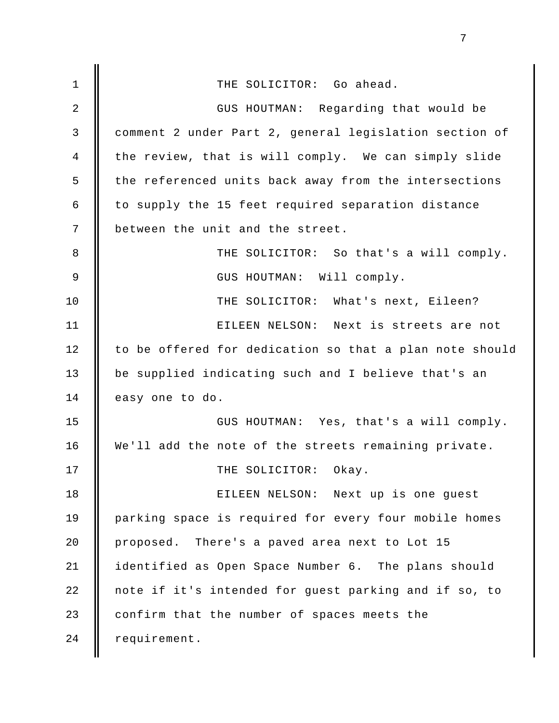| $\mathbf{1}$   | THE SOLICITOR: Go ahead.                                |
|----------------|---------------------------------------------------------|
| $\sqrt{2}$     | GUS HOUTMAN: Regarding that would be                    |
| 3              | comment 2 under Part 2, general legislation section of  |
| $\overline{4}$ | the review, that is will comply. We can simply slide    |
| 5              | the referenced units back away from the intersections   |
| 6              | to supply the 15 feet required separation distance      |
| $7\phantom{.}$ | between the unit and the street.                        |
| 8              | THE SOLICITOR: So that's a will comply.                 |
| $\mathsf 9$    | GUS HOUTMAN: Will comply.                               |
| 10             | THE SOLICITOR: What's next, Eileen?                     |
| 11             | EILEEN NELSON: Next is streets are not                  |
| 12             | to be offered for dedication so that a plan note should |
| 13             | be supplied indicating such and I believe that's an     |
| 14             | easy one to do.                                         |
| 15             | GUS HOUTMAN: Yes, that's a will comply.                 |
| 16             | We'll add the note of the streets remaining private.    |
| 17             | THE SOLICITOR: Okay.                                    |
| 18             | EILEEN NELSON: Next up is one quest                     |
| 19             | parking space is required for every four mobile homes   |
| 20             | proposed. There's a paved area next to Lot 15           |
| 21             | identified as Open Space Number 6. The plans should     |
| 22             | note if it's intended for guest parking and if so, to   |
| 23             | confirm that the number of spaces meets the             |
| 24             | requirement.                                            |
|                |                                                         |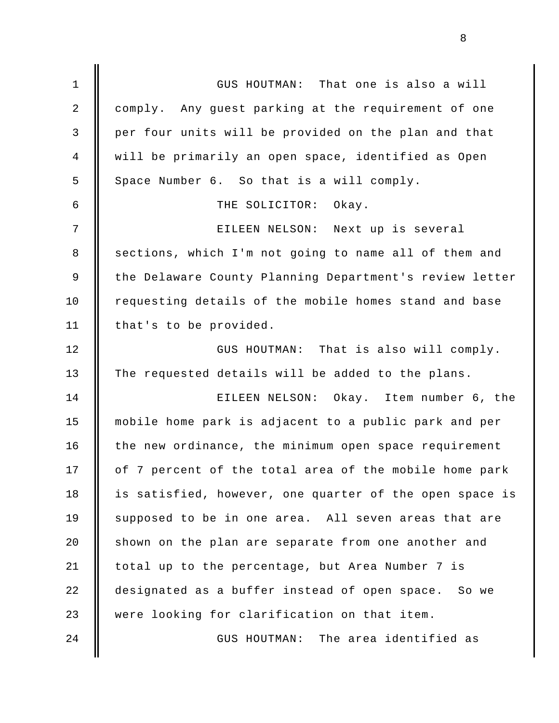1 2 3 4 5 6 7 8 9 10 11 12 13 14 15 16 17 18 19 20 21 22 23 24 GUS HOUTMAN: That one is also a will comply. Any guest parking at the requirement of one per four units will be provided on the plan and that will be primarily an open space, identified as Open Space Number 6. So that is a will comply. THE SOLICITOR: Okay. EILEEN NELSON: Next up is several sections, which I'm not going to name all of them and the Delaware County Planning Department's review letter requesting details of the mobile homes stand and base that's to be provided. GUS HOUTMAN: That is also will comply. The requested details will be added to the plans. EILEEN NELSON: Okay. Item number 6, the mobile home park is adjacent to a public park and per the new ordinance, the minimum open space requirement of 7 percent of the total area of the mobile home park is satisfied, however, one quarter of the open space is supposed to be in one area. All seven areas that are shown on the plan are separate from one another and total up to the percentage, but Area Number 7 is designated as a buffer instead of open space. So we were looking for clarification on that item. GUS HOUTMAN: The area identified as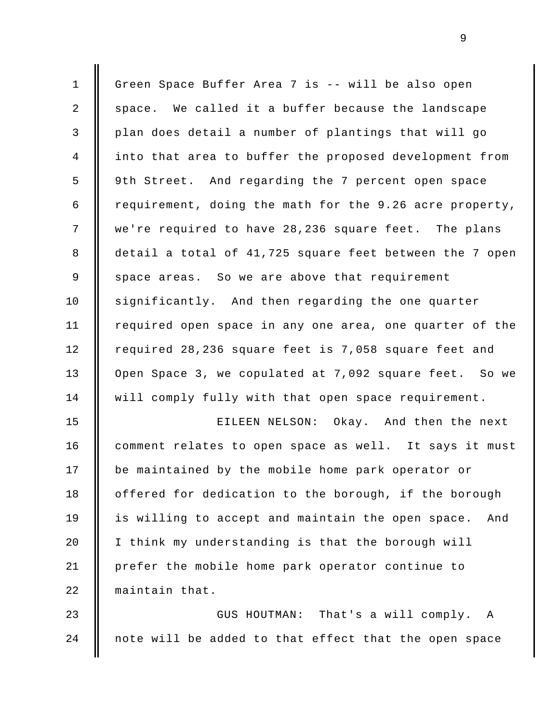| $\mathbf 1$    | Green Space Buffer Area 7 is -- will be also open        |
|----------------|----------------------------------------------------------|
| $\overline{2}$ | space. We called it a buffer because the landscape       |
| 3              | plan does detail a number of plantings that will go      |
| $\overline{4}$ | into that area to buffer the proposed development from   |
| 5              | 9th Street. And regarding the 7 percent open space       |
| 6              | requirement, doing the math for the 9.26 acre property,  |
| 7              | we're required to have 28,236 square feet. The plans     |
| 8              | detail a total of 41,725 square feet between the 7 open  |
| $\mathsf 9$    | space areas. So we are above that requirement            |
| 10             | significantly. And then regarding the one quarter        |
| 11             | required open space in any one area, one quarter of the  |
| 12             | required 28,236 square feet is 7,058 square feet and     |
| 13             | Open Space 3, we copulated at 7,092 square feet. So we   |
| 14             | will comply fully with that open space requirement.      |
| 15             | EILEEN NELSON: Okay. And then the next                   |
| 16             | comment relates to open space as well. It says it must   |
| 17             | be maintained by the mobile home park operator or        |
| 18             | offered for dedication to the borough, if the borough    |
| 19             | is willing to accept and maintain the open space.<br>And |
| 20             | I think my understanding is that the borough will        |
| 21             | prefer the mobile home park operator continue to         |
| 22             | maintain that.                                           |
| 23             | GUS HOUTMAN: That's a will comply.<br>A                  |
| 24             | note will be added to that effect that the open space    |
|                |                                                          |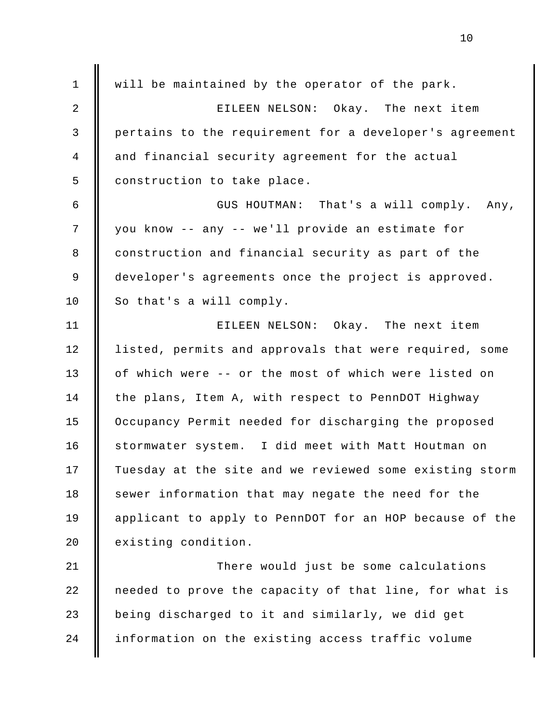1 2 3 4 5 6 7 8 9 10 11 12 13 14 15 16 17 18 19 20 21 22 23 24 will be maintained by the operator of the park. EILEEN NELSON: Okay. The next item pertains to the requirement for a developer's agreement and financial security agreement for the actual construction to take place. GUS HOUTMAN: That's a will comply. Any, you know -- any -- we'll provide an estimate for construction and financial security as part of the developer's agreements once the project is approved. So that's a will comply. EILEEN NELSON: Okay. The next item listed, permits and approvals that were required, some of which were -- or the most of which were listed on the plans, Item A, with respect to PennDOT Highway Occupancy Permit needed for discharging the proposed stormwater system. I did meet with Matt Houtman on Tuesday at the site and we reviewed some existing storm sewer information that may negate the need for the applicant to apply to PennDOT for an HOP because of the existing condition. There would just be some calculations needed to prove the capacity of that line, for what is being discharged to it and similarly, we did get information on the existing access traffic volume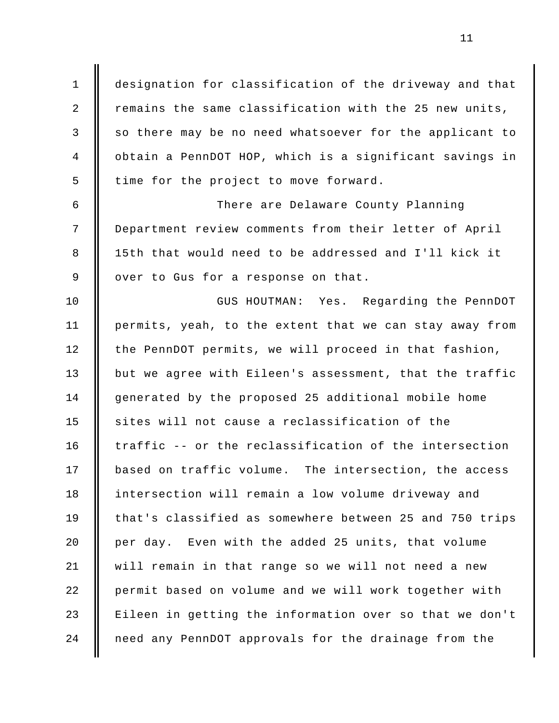1 2 3 4 5 6 designation for classification of the driveway and that remains the same classification with the 25 new units, so there may be no need whatsoever for the applicant to obtain a PennDOT HOP, which is a significant savings in time for the project to move forward. There are Delaware County Planning

7 8 9 Department review comments from their letter of April 15th that would need to be addressed and I'll kick it over to Gus for a response on that.

10 11 12 13 14 15 16 17 18 19 20 21 22 23 24 GUS HOUTMAN: Yes. Regarding the PennDOT permits, yeah, to the extent that we can stay away from the PennDOT permits, we will proceed in that fashion, but we agree with Eileen's assessment, that the traffic generated by the proposed 25 additional mobile home sites will not cause a reclassification of the traffic -- or the reclassification of the intersection based on traffic volume. The intersection, the access intersection will remain a low volume driveway and that's classified as somewhere between 25 and 750 trips per day. Even with the added 25 units, that volume will remain in that range so we will not need a new permit based on volume and we will work together with Eileen in getting the information over so that we don't need any PennDOT approvals for the drainage from the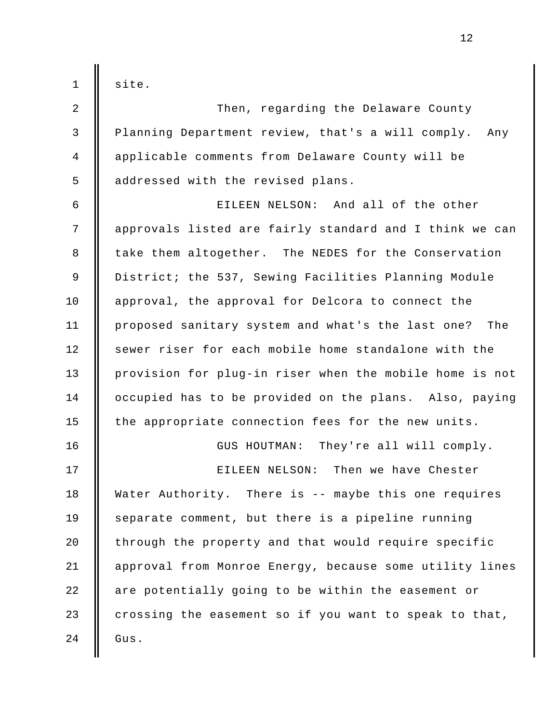| $\mathbf{1}$   | site.                                                    |
|----------------|----------------------------------------------------------|
| $\overline{2}$ | Then, regarding the Delaware County                      |
| 3              | Planning Department review, that's a will comply. Any    |
| $\overline{4}$ | applicable comments from Delaware County will be         |
| 5              | addressed with the revised plans.                        |
| 6              | EILEEN NELSON: And all of the other                      |
| 7              | approvals listed are fairly standard and I think we can  |
| 8              | take them altogether. The NEDES for the Conservation     |
| $\mathsf 9$    | District; the 537, Sewing Facilities Planning Module     |
| 10             | approval, the approval for Delcora to connect the        |
| 11             | proposed sanitary system and what's the last one?<br>The |
| 12             | sewer riser for each mobile home standalone with the     |
| 13             | provision for plug-in riser when the mobile home is not  |
| 14             | occupied has to be provided on the plans. Also, paying   |
| 15             | the appropriate connection fees for the new units.       |
| 16             | They're all will comply.<br>GUS HOUTMAN:                 |
| 17             | EILEEN NELSON: Then we have Chester                      |
| 18             | Water Authority. There is -- maybe this one requires     |
| 19             | separate comment, but there is a pipeline running        |
| 20             | through the property and that would require specific     |
| 21             | approval from Monroe Energy, because some utility lines  |
| 22             | are potentially going to be within the easement or       |
| 23             | crossing the easement so if you want to speak to that,   |
| 24             | Gus.                                                     |
|                |                                                          |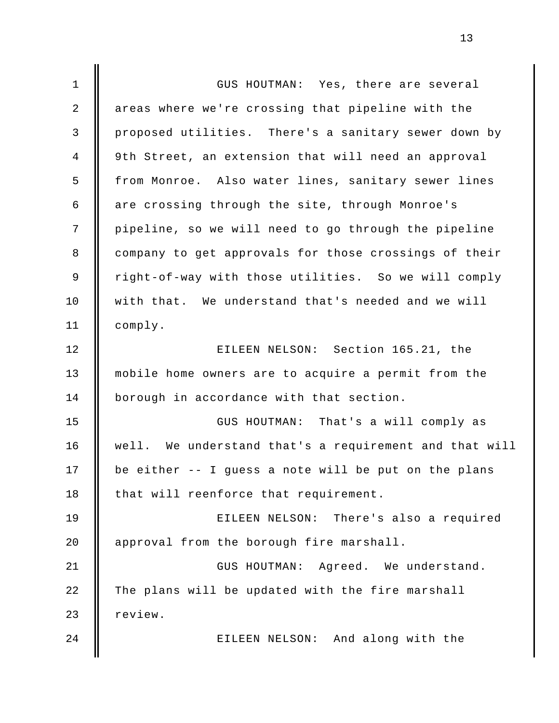1 2 3 4 5 6 7 8 9 10 11 12 13 14 15 16 17 18 19 20 21 22 23 24 GUS HOUTMAN: Yes, there are several areas where we're crossing that pipeline with the proposed utilities. There's a sanitary sewer down by 9th Street, an extension that will need an approval from Monroe. Also water lines, sanitary sewer lines are crossing through the site, through Monroe's pipeline, so we will need to go through the pipeline company to get approvals for those crossings of their right-of-way with those utilities. So we will comply with that. We understand that's needed and we will comply. EILEEN NELSON: Section 165.21, the mobile home owners are to acquire a permit from the borough in accordance with that section. GUS HOUTMAN: That's a will comply as well. We understand that's a requirement and that will be either -- I guess a note will be put on the plans that will reenforce that requirement. EILEEN NELSON: There's also a required approval from the borough fire marshall. GUS HOUTMAN: Agreed. We understand. The plans will be updated with the fire marshall review. EILEEN NELSON: And along with the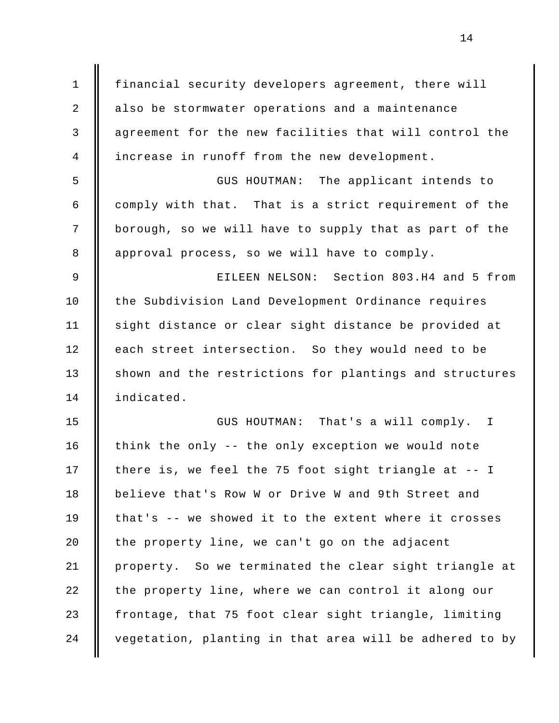1 2 3 4 5 6 7 8 9 10 11 12 13 14 15 16 17 18 19 20 21 22 23 24 financial security developers agreement, there will also be stormwater operations and a maintenance agreement for the new facilities that will control the increase in runoff from the new development. GUS HOUTMAN: The applicant intends to comply with that. That is a strict requirement of the borough, so we will have to supply that as part of the approval process, so we will have to comply. EILEEN NELSON: Section 803.H4 and 5 from the Subdivision Land Development Ordinance requires sight distance or clear sight distance be provided at each street intersection. So they would need to be shown and the restrictions for plantings and structures indicated. GUS HOUTMAN: That's a will comply. I think the only -- the only exception we would note there is, we feel the 75 foot sight triangle at -- I believe that's Row W or Drive W and 9th Street and that's -- we showed it to the extent where it crosses the property line, we can't go on the adjacent property. So we terminated the clear sight triangle at the property line, where we can control it along our frontage, that 75 foot clear sight triangle, limiting vegetation, planting in that area will be adhered to by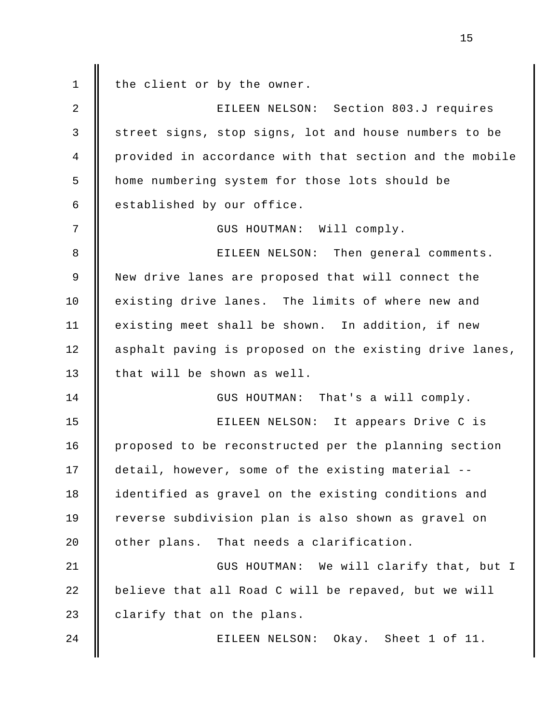1 | the client or by the owner.

| $\overline{2}$ | EILEEN NELSON: Section 803.J requires                   |
|----------------|---------------------------------------------------------|
| $\mathsf{3}$   | street signs, stop signs, lot and house numbers to be   |
| $\overline{4}$ | provided in accordance with that section and the mobile |
| 5              | home numbering system for those lots should be          |
| 6              | established by our office.                              |
| 7              | GUS HOUTMAN: Will comply.                               |
| 8              | EILEEN NELSON: Then general comments.                   |
| 9              | New drive lanes are proposed that will connect the      |
| 10             | existing drive lanes. The limits of where new and       |
| 11             | existing meet shall be shown. In addition, if new       |
| 12             | asphalt paving is proposed on the existing drive lanes, |
| 13             | that will be shown as well.                             |
| 14             | GUS HOUTMAN: That's a will comply.                      |
| 15             | EILEEN NELSON: It appears Drive C is                    |
| 16             | proposed to be reconstructed per the planning section   |
| 17             | detail, however, some of the existing material --       |
| 18             | identified as gravel on the existing conditions and     |
| 19             | reverse subdivision plan is also shown as gravel on     |
| 20             | other plans. That needs a clarification.                |
| 21             | GUS HOUTMAN: We will clarify that, but I                |
| 22             | believe that all Road C will be repaved, but we will    |
| 23             | clarify that on the plans.                              |
| 24             | EILEEN NELSON: Okay. Sheet 1 of 11.                     |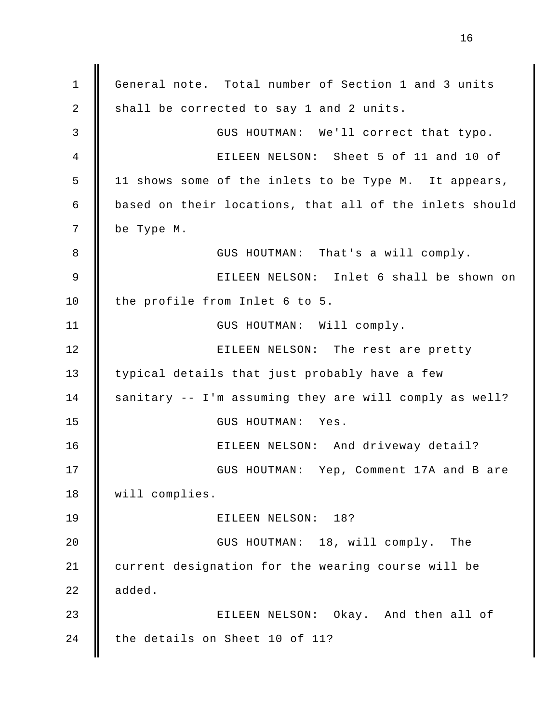1 2 3 4 5 6 7 8 9 10 11 12 13 14 15 16 17 18 19 20 21 22 23 24 General note. Total number of Section 1 and 3 units shall be corrected to say 1 and 2 units. GUS HOUTMAN: We'll correct that typo. EILEEN NELSON: Sheet 5 of 11 and 10 of 11 shows some of the inlets to be Type M. It appears, based on their locations, that all of the inlets should be Type M. GUS HOUTMAN: That's a will comply. EILEEN NELSON: Inlet 6 shall be shown on the profile from Inlet 6 to 5. GUS HOUTMAN: Will comply. EILEEN NELSON: The rest are pretty typical details that just probably have a few sanitary -- I'm assuming they are will comply as well? GUS HOUTMAN: Yes. EILEEN NELSON: And driveway detail? GUS HOUTMAN: Yep, Comment 17A and B are will complies. EILEEN NELSON: 18? GUS HOUTMAN: 18, will comply. The current designation for the wearing course will be added. EILEEN NELSON: Okay. And then all of the details on Sheet 10 of 11?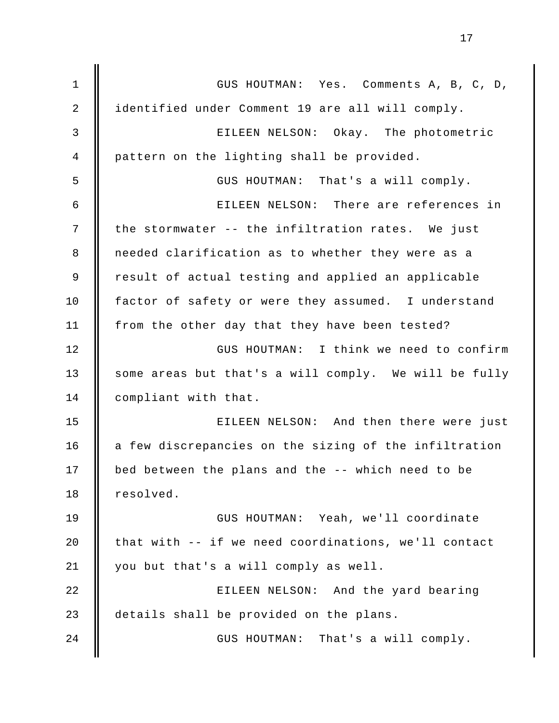1 2 3 4 5 6 7 8 9 10 11 12 13 14 15 16 17 18 19 20 21 22 23 24 GUS HOUTMAN: Yes. Comments A, B, C, D, identified under Comment 19 are all will comply. EILEEN NELSON: Okay. The photometric pattern on the lighting shall be provided. GUS HOUTMAN: That's a will comply. EILEEN NELSON: There are references in the stormwater -- the infiltration rates. We just needed clarification as to whether they were as a result of actual testing and applied an applicable factor of safety or were they assumed. I understand from the other day that they have been tested? GUS HOUTMAN: I think we need to confirm some areas but that's a will comply. We will be fully compliant with that. EILEEN NELSON: And then there were just a few discrepancies on the sizing of the infiltration bed between the plans and the -- which need to be resolved. GUS HOUTMAN: Yeah, we'll coordinate that with -- if we need coordinations, we'll contact you but that's a will comply as well. EILEEN NELSON: And the yard bearing details shall be provided on the plans. GUS HOUTMAN: That's a will comply.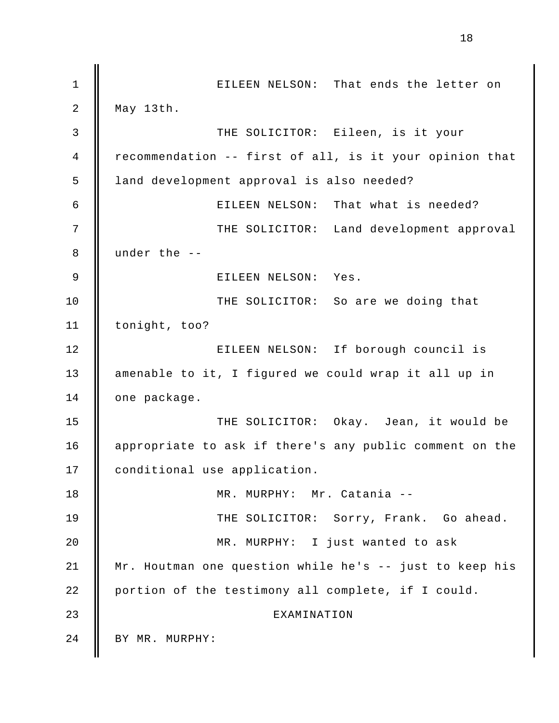| $\mathbf 1$    | EILEEN NELSON: That ends the letter on                  |
|----------------|---------------------------------------------------------|
| $\overline{2}$ | May 13th.                                               |
| 3              | THE SOLICITOR: Eileen, is it your                       |
| 4              | recommendation -- first of all, is it your opinion that |
| 5              | land development approval is also needed?               |
| $\epsilon$     | EILEEN NELSON: That what is needed?                     |
| $\overline{7}$ | THE SOLICITOR: Land development approval                |
| 8              | under the --                                            |
| $\mathsf 9$    | EILEEN NELSON: Yes.                                     |
| 10             | THE SOLICITOR: So are we doing that                     |
| 11             | tonight, too?                                           |
| 12             | EILEEN NELSON: If borough council is                    |
| 13             | amenable to it, I figured we could wrap it all up in    |
| 14             | one package.                                            |
| 15             | THE SOLICITOR: Okay. Jean, it would be                  |
| 16             | appropriate to ask if there's any public comment on the |
| 17             | conditional use application.                            |
| 18             | MR. MURPHY: Mr. Catania --                              |
| 19             | THE SOLICITOR: Sorry, Frank. Go ahead.                  |
| 20             | MR. MURPHY: I just wanted to ask                        |
| 21             | Mr. Houtman one question while he's -- just to keep his |
| 22             | portion of the testimony all complete, if I could.      |
| 23             | EXAMINATION                                             |
| 24             | BY MR. MURPHY:                                          |
|                |                                                         |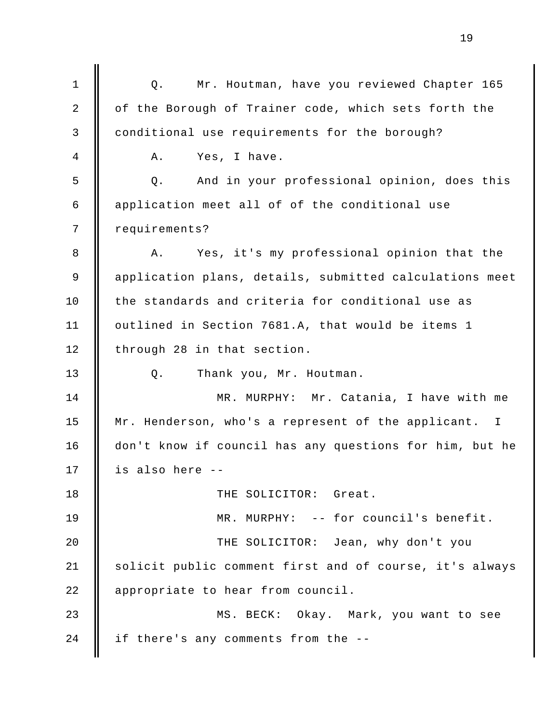1 2 3 4 5 6 7 8 9 10 11 12 13 14 15 16 17 18 19 20 21 22 23 24 Q. Mr. Houtman, have you reviewed Chapter 165 of the Borough of Trainer code, which sets forth the conditional use requirements for the borough? A. Yes, I have. Q. And in your professional opinion, does this application meet all of of the conditional use requirements? A. Yes, it's my professional opinion that the application plans, details, submitted calculations meet the standards and criteria for conditional use as outlined in Section 7681.A, that would be items 1 through 28 in that section. Q. Thank you, Mr. Houtman. MR. MURPHY: Mr. Catania, I have with me Mr. Henderson, who's a represent of the applicant. I don't know if council has any questions for him, but he is also here -- THE SOLICITOR: Great. MR. MURPHY: -- for council's benefit. THE SOLICITOR: Jean, why don't you solicit public comment first and of course, it's always appropriate to hear from council. MS. BECK: Okay. Mark, you want to see if there's any comments from the --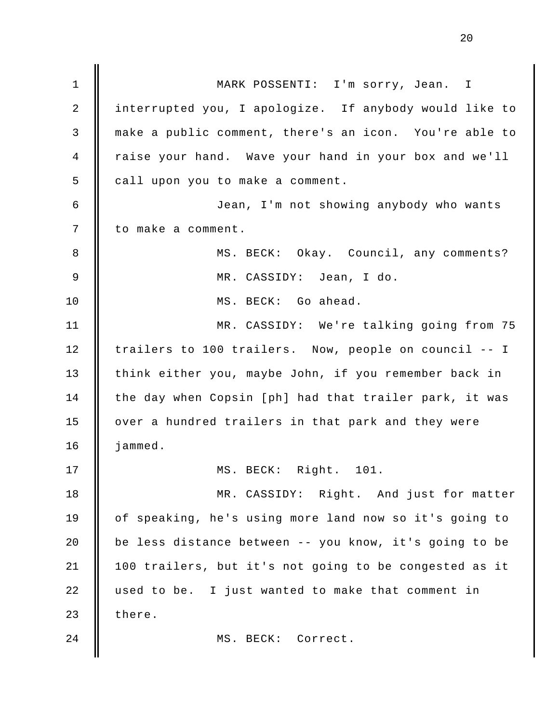1 2 3 4 5 6 7 8 9 10 11 12 13 14 15 16 17 18 19 20 21 22 23 24 MARK POSSENTI: I'm sorry, Jean. I interrupted you, I apologize. If anybody would like to make a public comment, there's an icon. You're able to raise your hand. Wave your hand in your box and we'll call upon you to make a comment. Jean, I'm not showing anybody who wants to make a comment. MS. BECK: Okay. Council, any comments? MR. CASSIDY: Jean, I do. MS. BECK: Go ahead. MR. CASSIDY: We're talking going from 75 trailers to 100 trailers. Now, people on council -- I think either you, maybe John, if you remember back in the day when Copsin [ph] had that trailer park, it was over a hundred trailers in that park and they were jammed. MS. BECK: Right. 101. MR. CASSIDY: Right. And just for matter of speaking, he's using more land now so it's going to be less distance between -- you know, it's going to be 100 trailers, but it's not going to be congested as it used to be. I just wanted to make that comment in there. MS. BECK: Correct.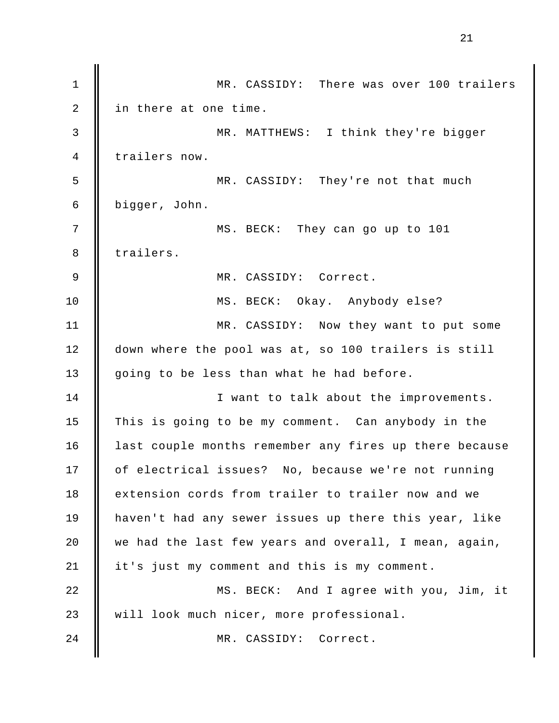| $\mathbf 1$    | MR. CASSIDY: There was over 100 trailers               |
|----------------|--------------------------------------------------------|
| $\overline{2}$ | in there at one time.                                  |
| 3              | MR. MATTHEWS: I think they're bigger                   |
| 4              | trailers now.                                          |
| 5              | MR. CASSIDY: They're not that much                     |
| $\epsilon$     | bigger, John.                                          |
| 7              | MS. BECK: They can go up to 101                        |
| 8              | trailers.                                              |
| $\mathsf 9$    | MR. CASSIDY: Correct.                                  |
| 10             | MS. BECK: Okay. Anybody else?                          |
| 11             | MR. CASSIDY: Now they want to put some                 |
| 12             | down where the pool was at, so 100 trailers is still   |
| 13             | going to be less than what he had before.              |
| 14             | I want to talk about the improvements.                 |
| 15             | This is going to be my comment. Can anybody in the     |
| 16             | last couple months remember any fires up there because |
| 17             | of electrical issues? No, because we're not running    |
| 18             | extension cords from trailer to trailer now and we     |
| 19             | haven't had any sewer issues up there this year, like  |
| 20             | we had the last few years and overall, I mean, again,  |
| 21             | it's just my comment and this is my comment.           |
| 22             | MS. BECK: And I agree with you, Jim, it                |
| 23             | will look much nicer, more professional.               |
| 24             | MR. CASSIDY: Correct.                                  |
|                |                                                        |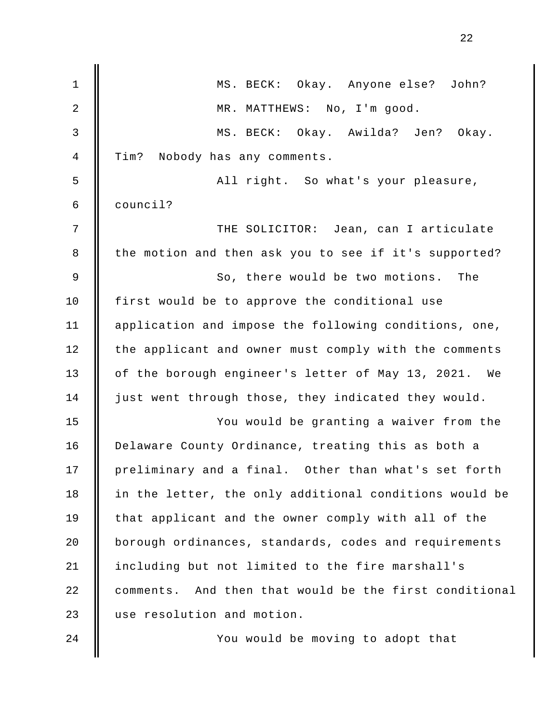| $1\,$          | MS. BECK: Okay. Anyone else? John?                     |
|----------------|--------------------------------------------------------|
| $\overline{2}$ | MR. MATTHEWS: No, I'm good.                            |
| 3              | MS. BECK: Okay. Awilda? Jen? Okay.                     |
| $\overline{4}$ | Tim?<br>Nobody has any comments.                       |
| 5              | All right. So what's your pleasure,                    |
| $\epsilon$     | council?                                               |
| $\overline{7}$ | THE SOLICITOR: Jean, can I articulate                  |
| 8              | the motion and then ask you to see if it's supported?  |
| $\mathsf 9$    | So, there would be two motions. The                    |
| 10             | first would be to approve the conditional use          |
| 11             | application and impose the following conditions, one,  |
| 12             | the applicant and owner must comply with the comments  |
| 13             | of the borough engineer's letter of May 13, 2021. We   |
| 14             | just went through those, they indicated they would.    |
| 15             | You would be granting a waiver from the                |
| 16             | Delaware County Ordinance, treating this as both a     |
| 17             | preliminary and a final. Other than what's set forth   |
| 18             | in the letter, the only additional conditions would be |
| 19             | that applicant and the owner comply with all of the    |
| 20             | borough ordinances, standards, codes and requirements  |
| 21             | including but not limited to the fire marshall's       |
| 22             | comments. And then that would be the first conditional |
| 23             | use resolution and motion.                             |
| 24             | You would be moving to adopt that                      |
|                |                                                        |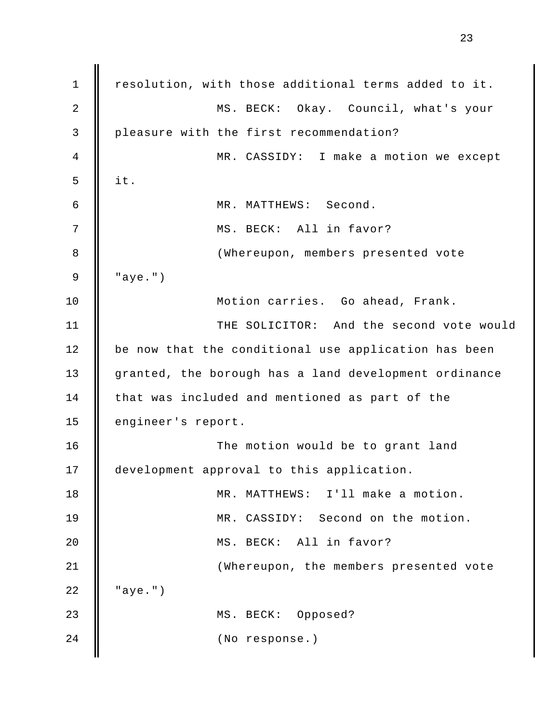1 2 3 4 5 6 7 8 9 10 11 12 13 14 15 16 17 18 19 20 21 22 23 24 resolution, with those additional terms added to it. MS. BECK: Okay. Council, what's your pleasure with the first recommendation? MR. CASSIDY: I make a motion we except it. MR. MATTHEWS: Second. MS. BECK: All in favor? (Whereupon, members presented vote "aye.") Motion carries. Go ahead, Frank. THE SOLICITOR: And the second vote would be now that the conditional use application has been granted, the borough has a land development ordinance that was included and mentioned as part of the engineer's report. The motion would be to grant land development approval to this application. MR. MATTHEWS: I'll make a motion. MR. CASSIDY: Second on the motion. MS. BECK: All in favor? (Whereupon, the members presented vote "aye.") MS. BECK: Opposed? (No response.)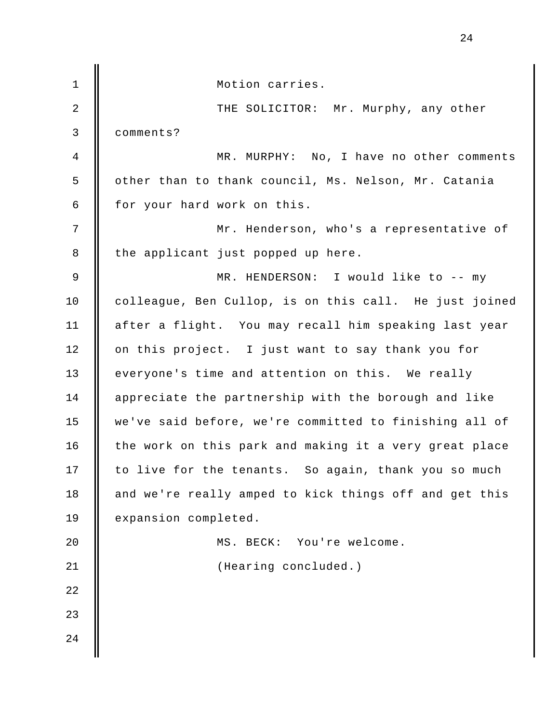| $\mathbf{1}$   | Motion carries.                                        |
|----------------|--------------------------------------------------------|
| $\overline{2}$ | THE SOLICITOR: Mr. Murphy, any other                   |
| $\mathsf{3}$   | comments?                                              |
| $\overline{4}$ | MR. MURPHY: No, I have no other comments               |
| 5              | other than to thank council, Ms. Nelson, Mr. Catania   |
| 6              | for your hard work on this.                            |
| $\overline{7}$ | Mr. Henderson, who's a representative of               |
| 8              | the applicant just popped up here.                     |
| $\mathsf 9$    | MR. HENDERSON: I would like to -- my                   |
| 10             | colleague, Ben Cullop, is on this call. He just joined |
| 11             | after a flight. You may recall him speaking last year  |
| 12             | on this project. I just want to say thank you for      |
| 13             | everyone's time and attention on this. We really       |
| 14             | appreciate the partnership with the borough and like   |
| 15             | we've said before, we're committed to finishing all of |
| 16             | the work on this park and making it a very great place |
| 17             | to live for the tenants. So again, thank you so much   |
| 18             | and we're really amped to kick things off and get this |
| 19             | expansion completed.                                   |
| 20             | MS. BECK: You're welcome.                              |
| 21             | (Hearing concluded.)                                   |
| 22             |                                                        |
| 23             |                                                        |
| 24             |                                                        |
|                |                                                        |